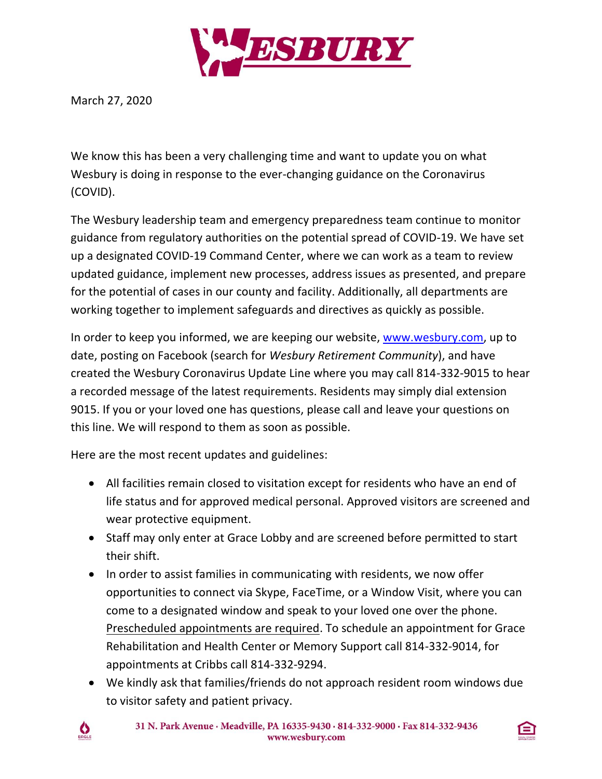

March 27, 2020

We know this has been a very challenging time and want to update you on what Wesbury is doing in response to the ever-changing guidance on the Coronavirus (COVID).

The Wesbury leadership team and emergency preparedness team continue to monitor guidance from regulatory authorities on the potential spread of COVID-19. We have set up a designated COVID-19 Command Center, where we can work as a team to review updated guidance, implement new processes, address issues as presented, and prepare for the potential of cases in our county and facility. Additionally, all departments are working together to implement safeguards and directives as quickly as possible.

In order to keep you informed, we are keeping our website, [www.wesbury.com,](http://www.wesbury.com/) up to date, posting on Facebook (search for *Wesbury Retirement Community*), and have created the Wesbury Coronavirus Update Line where you may call 814-332-9015 to hear a recorded message of the latest requirements. Residents may simply dial extension 9015. If you or your loved one has questions, please call and leave your questions on this line. We will respond to them as soon as possible.

Here are the most recent updates and guidelines:

- All facilities remain closed to visitation except for residents who have an end of life status and for approved medical personal. Approved visitors are screened and wear protective equipment.
- Staff may only enter at Grace Lobby and are screened before permitted to start their shift.
- In order to assist families in communicating with residents, we now offer opportunities to connect via Skype, FaceTime, or a Window Visit, where you can come to a designated window and speak to your loved one over the phone. Prescheduled appointments are required. To schedule an appointment for Grace Rehabilitation and Health Center or Memory Support call 814-332-9014, for appointments at Cribbs call 814-332-9294.
- We kindly ask that families/friends do not approach resident room windows due to visitor safety and patient privacy.